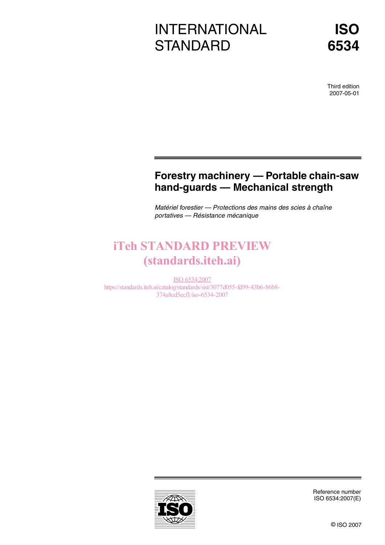# INTERNATIONAL **STANDARD**

Third edition 2007-05-01

# **Forestry machinery — Portable chain-saw hand-guards — Mechanical strength**

Matériel forestier — Protections des mains des scies à chaîne portatives — Résistance mécanique

# **iTeh STANDARD PREVIEW** (standards.iteh.ai)

ISO 6534:2007 https://standards.iteh.ai/catalog/standards/sist/3077d055-fd99-43b6-86b8- 374a8ed5ecf1/iso-6534-2007



Reference number ISO 6534:2007(E)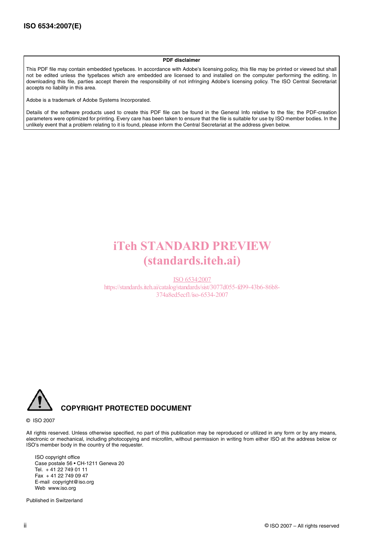#### **PDF disclaimer**

This PDF file may contain embedded typefaces. In accordance with Adobe's licensing policy, this file may be printed or viewed but shall not be edited unless the typefaces which are embedded are licensed to and installed on the computer performing the editing. In downloading this file, parties accept therein the responsibility of not infringing Adobe's licensing policy. The ISO Central Secretariat accepts no liability in this area.

Adobe is a trademark of Adobe Systems Incorporated.

Details of the software products used to create this PDF file can be found in the General Info relative to the file; the PDF-creation parameters were optimized for printing. Every care has been taken to ensure that the file is suitable for use by ISO member bodies. In the unlikely event that a problem relating to it is found, please inform the Central Secretariat at the address given below.

# iTeh STANDARD PREVIEW (standards.iteh.ai)

ISO 6534:2007 https://standards.iteh.ai/catalog/standards/sist/3077d055-fd99-43b6-86b8- 374a8ed5ecf1/iso-6534-2007



© ISO 2007

All rights reserved. Unless otherwise specified, no part of this publication may be reproduced or utilized in any form or by any means, electronic or mechanical, including photocopying and microfilm, without permission in writing from either ISO at the address below or ISO's member body in the country of the requester.

ISO copyright office Case postale 56 • CH-1211 Geneva 20 Tel. + 41 22 749 01 11 Fax + 41 22 749 09 47 E-mail copyright@iso.org Web www.iso.org

Published in Switzerland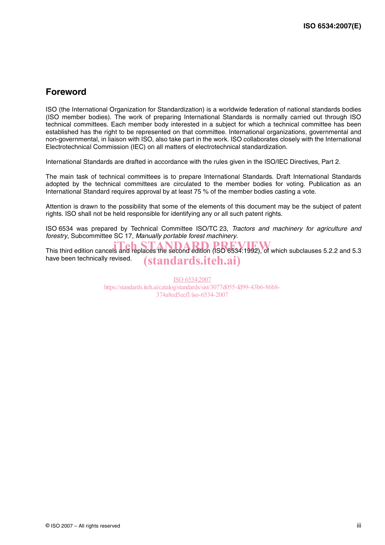## **Foreword**

ISO (the International Organization for Standardization) is a worldwide federation of national standards bodies (ISO member bodies). The work of preparing International Standards is normally carried out through ISO technical committees. Each member body interested in a subject for which a technical committee has been established has the right to be represented on that committee. International organizations, governmental and non-governmental, in liaison with ISO, also take part in the work. ISO collaborates closely with the International Electrotechnical Commission (IEC) on all matters of electrotechnical standardization.

International Standards are drafted in accordance with the rules given in the ISO/IEC Directives, Part 2.

The main task of technical committees is to prepare International Standards. Draft International Standards adopted by the technical committees are circulated to the member bodies for voting. Publication as an International Standard requires approval by at least 75 % of the member bodies casting a vote.

Attention is drawn to the possibility that some of the elements of this document may be the subject of patent rights. ISO shall not be held responsible for identifying any or all such patent rights.

ISO 6534 was prepared by Technical Committee ISO/TC 23, Tractors and machinery for agriculture and forestry, Subcommittee SC 17, Manually portable forest machinery.

This third edition cancels and replaces the second edition (ISO 6534:1992), of which subclauses 5.2.2 and 5.3 have been technically revised. (standards.iteh.ai)

> ISO 6534:2007 https://standards.iteh.ai/catalog/standards/sist/3077d055-fd99-43b6-86b8- 374a8ed5ecf1/iso-6534-2007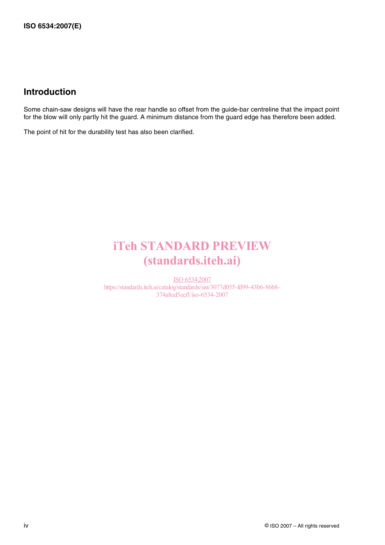## **Introduction**

Some chain-saw designs will have the rear handle so offset from the guide-bar centreline that the impact point for the blow will only partly hit the guard. A minimum distance from the guard edge has therefore been added.

The point of hit for the durability test has also been clarified.

# iTeh STANDARD PREVIEW (standards.iteh.ai)

ISO 6534:2007 https://standards.iteh.ai/catalog/standards/sist/3077d055-fd99-43b6-86b8- 374a8ed5ecf1/iso-6534-2007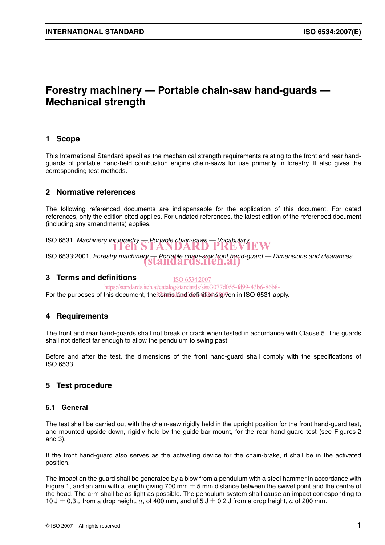# **Forestry machinery — Portable chain-saw hand-guards — Mechanical strength**

### **1 Scope**

This International Standard specifies the mechanical strength requirements relating to the front and rear handguards of portable hand-held combustion engine chain-saws for use primarily in forestry. It also gives the corresponding test methods.

### **2 Normative references**

The following referenced documents are indispensable for the application of this document. For dated references, only the edition cited applies. For undated references, the latest edition of the referenced document (including any amendments) applies.

ISO 6531, Machinery for forestry  $\frac{1}{\sqrt{2}}$  Portable chain-saws — Vocabulary<br>**ITER STANDARD PREVIEW** 

ISO 6533:2001, Forestry machinery — Portable chain-saw front hand-guard — Dimensions and clearances<br>
STAN Q AT OS, ITEN.AI

#### **3 Terms and definitions**

ISO 6534:2007

https://standards.iteh.ai/catalog/standards/sist/3077d055-fd99-43b6-86b8-

For the purposes of this document, the terms and definitions given in ISO 6531 apply.

### **4 Requirements**

The front and rear hand-guards shall not break or crack when tested in accordance with Clause 5. The guards shall not deflect far enough to allow the pendulum to swing past.

Before and after the test, the dimensions of the front hand-guard shall comply with the specifications of ISO 6533.

### **5 Test procedure**

#### **5.1 General**

The test shall be carried out with the chain-saw rigidly held in the upright position for the front hand-guard test, and mounted upside down, rigidly held by the guide-bar mount, for the rear hand-guard test (see Figures 2 and 3).

If the front hand-guard also serves as the activating device for the chain-brake, it shall be in the activated position.

The impact on the guard shall be generated by a blow from a pendulum with a steel hammer in accordance with Figure 1, and an arm with a length giving 700 mm  $\pm$  5 mm distance between the swivel point and the centre of the head. The arm shall be as light as possible. The pendulum system shall cause an impact corresponding to 10 J  $\pm$  0,3 J from a drop height,  $a$ , of 400 mm, and of 5 J  $\pm$  0,2 J from a drop height,  $a$  of 200 mm.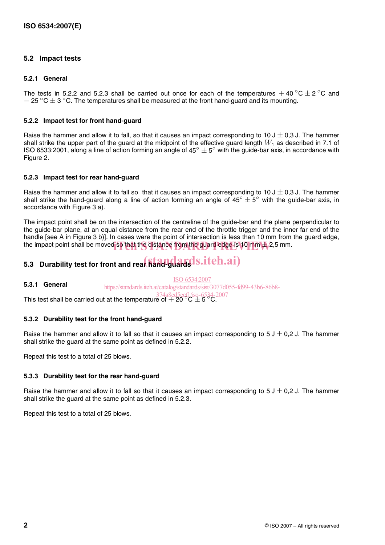### **5.2 Impact tests**

#### **5.2.1 General**

The tests in 5.2.2 and 5.2.3 shall be carried out once for each of the temperatures  $+$  40 °C  $\pm$  2 °C and  $-$  25 °C  $\pm$  3 °C. The temperatures shall be measured at the front hand-guard and its mounting.

#### **5.2.2 Impact test for front hand-guard**

Raise the hammer and allow it to fall, so that it causes an impact corresponding to 10 J  $\pm$  0,3 J. The hammer shall strike the upper part of the guard at the midpoint of the effective guard length  $W_1$  as described in 7.1 of ISO 6533:2001, along a line of action forming an angle of 45 $^{\circ}$   $\pm$  5 $^{\circ}$  with the guide-bar axis, in accordance with Figure 2.

#### **5.2.3 Impact test for rear hand-guard**

Raise the hammer and allow it to fall so that it causes an impact corresponding to 10 J  $\pm$  0,3 J. The hammer shall strike the hand-guard along a line of action forming an angle of 45°  $\pm$  5° with the guide-bar axis, in accordance with Figure 3 a).

The impact point shall be on the intersection of the centreline of the guide-bar and the plane perpendicular to the guide-bar plane, at an equal distance from the rear end of the throttle trigger and the inner far end of the handle [see A in Figure 3 b)]. In cases were the point of intersection is less than 10 mm from the guard edge, the impact point shall be moved so that the distance from the guard edge is 10 mm  $\pm$  2,5 mm.

# 5.3 Durability test for front and rear hand-guards.iteh.ai)

**5.3.1 General** ISO 6534:2007 https://standards.iteh.ai/catalog/standards/sist/3077d055-fd99-43b6-86b8-

This test shall be carried out at the temperature of  $+ 20^{\circ}$ C  $\pm 5^{\circ}$ C.

#### **5.3.2 Durability test for the front hand-guard**

Raise the hammer and allow it to fall so that it causes an impact corresponding to 5 J  $\pm$  0,2 J. The hammer shall strike the guard at the same point as defined in 5.2.2.

Repeat this test to a total of 25 blows.

#### **5.3.3 Durability test for the rear hand-guard**

Raise the hammer and allow it to fall so that it causes an impact corresponding to 5 J  $\pm$  0,2 J. The hammer shall strike the guard at the same point as defined in 5.2.3.

Repeat this test to a total of 25 blows.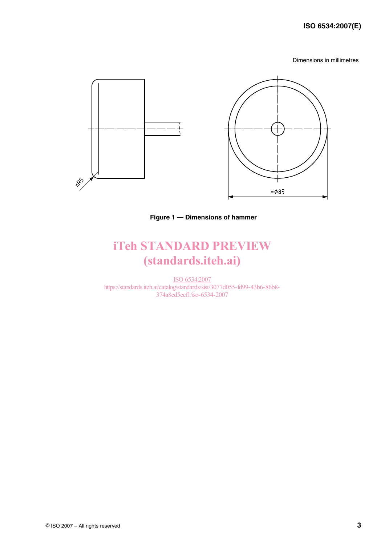### **ISO 6534:2007(E)**

Dimensions in millimetres



**Figure 1 — Dimensions of hammer**

# iTeh STANDARD PREVIEW (standards.iteh.ai)

ISO 6534:2007 https://standards.iteh.ai/catalog/standards/sist/3077d055-fd99-43b6-86b8- 374a8ed5ecf1/iso-6534-2007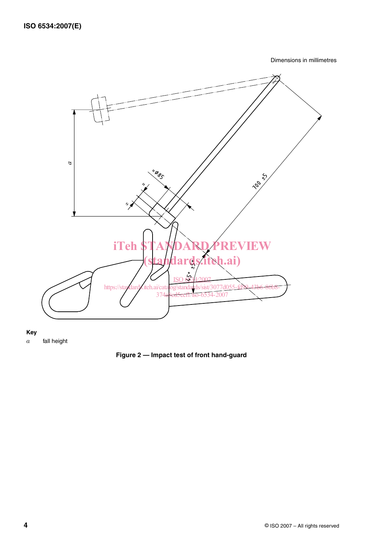Dimensions in millimetres



**Key**

fall height *a*